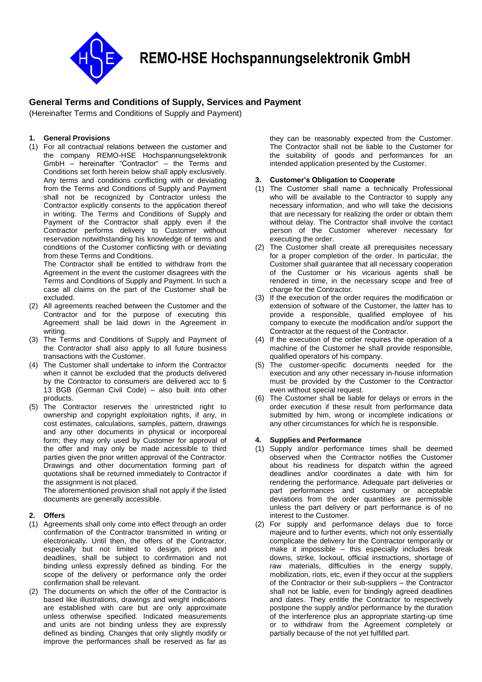

**REMO-HSE Hochspannungselektronik GmbH**

# **General Terms and Conditions of Supply, Services and Payment**

(Hereinafter Terms and Conditions of Supply and Payment)

# **1. General Provisions**

(1) For all contractual relations between the customer and the company REMO-HSE Hochspannungselektronik GmbH – hereinafter "Contractor" – the Terms and Conditions set forth herein below shall apply exclusively. Any terms and conditions conflicting with or deviating from the Terms and Conditions of Supply and Payment shall not be recognized by Contractor unless the Contractor explicitly consents to the application thereof in writing. The Terms and Conditions of Supply and Payment of the Contractor shall apply even if the Contractor performs delivery to Customer without reservation notwithstanding his knowledge of terms and conditions of the Customer conflicting with or deviating from these Terms and Conditions.

The Contractor shall be entitled to withdraw from the Agreement in the event the customer disagrees with the Terms and Conditions of Supply and Payment. In such a case all claims on the part of the Customer shall be excluded.

- (2) All agreements reached between the Customer and the Contractor and for the purpose of executing this Agreement shall be laid down in the Agreement in writing.
- (3) The Terms and Conditions of Supply and Payment of the Contractor shall also apply to all future business transactions with the Customer.
- (4) The Customer shall undertake to inform the Contractor when it cannot be excluded that the products delivered by the Contractor to consumers are delivered acc to § 13 BGB (German Civil Code) – also built into other products.
- (5) The Contractor reserves the unrestricted right to ownership and copyright exploitation rights, if any, in cost estimates, calculations, samples, pattern, drawings and any other documents in physical or incorporeal form; they may only used by Customer for approval of the offer and may only be made accessible to third parties given the prior written approval of the Contractor. Drawings and other documentation forming part of quotations shall be returned immediately to Contractor if the assignment is not placed.

The aforementioned provision shall not apply if the listed documents are generally accessible.

### **2. Offers**

- (1) Agreements shall only come into effect through an order confirmation of the Contractor transmitted in writing or electronically. Until then, the offers of the Contractor, especially but not limited to design, prices and deadlines, shall be subject to confirmation and not binding unless expressly defined as binding. For the scope of the delivery or performance only the order confirmation shall be relevant.
- (2) The documents on which the offer of the Contractor is based like illustrations, drawings and weight indications are established with care but are only approximate unless otherwise specified. Indicated measurements and units are not binding unless they are expressly defined as binding. Changes that only slightly modify or improve the performances shall be reserved as far as

they can be reasonably expected from the Customer. The Contractor shall not be liable to the Customer for the suitability of goods and performances for an intended application presented by the Customer.

### **3. Customer's Obligation to Cooperate**

- (1) The Customer shall name a technically Professional who will be available to the Contractor to supply any necessary information, and who will take the decisions that are necessary for realizing the order or obtain them without delay. The Contractor shall involve the contact person of the Customer wherever necessary for executing the order.
- (2) The Customer shall create all prerequisites necessary for a proper completion of the order. In particular, the Customer shall guarantee that all necessary cooperation of the Customer or his vicarious agents shall be rendered in time, in the necessary scope and free of charge for the Contractor.
- (3) If the execution of the order requires the modification or extension of software of the Customer, the latter has to provide a responsible, qualified employee of his company to execute the modification and/or support the Contractor at the request of the Contractor.
- (4) If the execution of the order requires the operation of a machine of the Customer he shall provide responsible, qualified operators of his company.
- (5) The customer-specific documents needed for the execution and any other necessary in-house information must be provided by the Customer to the Contractor even without special request.
- (6) The Customer shall be liable for delays or errors in the order execution if these result from performance data submitted by him, wrong or incomplete indications or any other circumstances for which he is responsible.

### **4. Supplies and Performance**

- (1) Supply and/or performance times shall be deemed observed when the Contractor notifies the Customer about his readiness for dispatch within the agreed deadlines and/or coordinates a date with him for rendering the performance. Adequate part deliveries or part performances and customary or acceptable deviations from the order quantities are permissible unless the part delivery or part performance is of no interest to the Customer.
- (2) For supply and performance delays due to force majeure and to further events, which not only essentially complicate the delivery for the Contractor temporarily or make it impossible – this especially includes break downs, strike, lockout, official instructions, shortage of raw materials, difficulties in the energy supply, mobilization, riots, etc, even if they occur at the suppliers of the Contractor or their sub-suppliers – the Contractor shall not be liable, even for bindingly agreed deadlines and dates. They entitle the Contractor to respectively postpone the supply and/or performance by the duration of the interference plus an appropriate starting-up time or to withdraw from the Agreement completely or partially because of the not yet fulfilled part.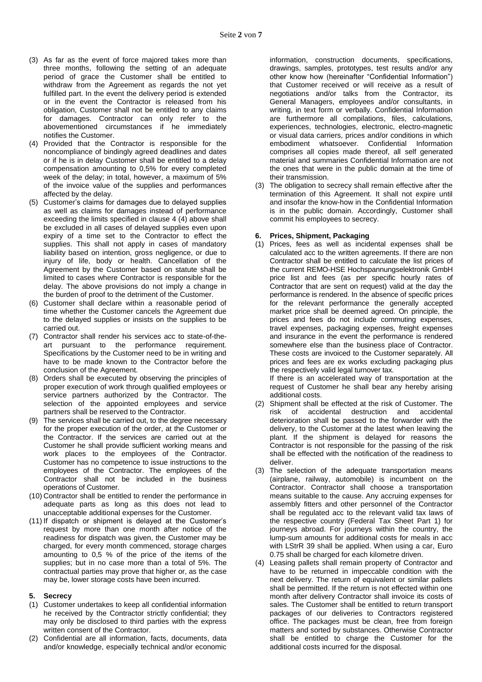- (3) As far as the event of force majored takes more than three months, following the setting of an adequate period of grace the Customer shall be entitled to withdraw from the Agreement as regards the not yet fulfilled part. In the event the delivery period is extended or in the event the Contractor is released from his obligation, Customer shall not be entitled to any claims for damages. Contractor can only refer to the abovementioned circumstances if he immediately notifies the Customer.
- (4) Provided that the Contractor is responsible for the noncompliance of bindingly agreed deadlines and dates or if he is in delay Customer shall be entitled to a delay compensation amounting to 0,5% for every completed week of the delay; in total, however, a maximum of 5% of the invoice value of the supplies and performances affected by the delay.
- (5) Customer's claims for damages due to delayed supplies as well as claims for damages instead of performance exceeding the limits specified in clause 4 (4) above shall be excluded in all cases of delayed supplies even upon expiry of a time set to the Contractor to effect the supplies. This shall not apply in cases of mandatory liability based on intention, gross negligence, or due to injury of life, body or health. Cancellation of the Agreement by the Customer based on statute shall be limited to cases where Contractor is responsible for the delay. The above provisions do not imply a change in the burden of proof to the detriment of the Customer.
- (6) Customer shall declare within a reasonable period of time whether the Customer cancels the Agreement due to the delayed supplies or insists on the supplies to be carried out.
- (7) Contractor shall render his services acc to state-of-theart pursuant to the performance requirement. Specifications by the Customer need to be in writing and have to be made known to the Contractor before the conclusion of the Agreement.
- (8) Orders shall be executed by observing the principles of proper execution of work through qualified employees or service partners authorized by the Contractor. The selection of the appointed employees and service partners shall be reserved to the Contractor.
- (9) The services shall be carried out, to the degree necessary for the proper execution of the order, at the Customer or the Contractor. If the services are carried out at the Customer he shall provide sufficient working means and work places to the employees of the Contractor. Customer has no competence to issue instructions to the employees of the Contractor. The employees of the Contractor shall not be included in the business operations of Customer.
- (10) Contractor shall be entitled to render the performance in adequate parts as long as this does not lead to unacceptable additional expenses for the Customer.
- (11) If dispatch or shipment is delayed at the Customer's request by more than one month after notice of the readiness for dispatch was given, the Customer may be charged, for every month commenced, storage charges amounting to 0,5 % of the price of the items of the supplies; but in no case more than a total of 5%. The contractual parties may prove that higher or, as the case may be, lower storage costs have been incurred.

# **5. Secrecy**

- (1) Customer undertakes to keep all confidential information he received by the Contractor strictly confidential; they may only be disclosed to third parties with the express written consent of the Contractor.
- (2) Confidential are all information, facts, documents, data and/or knowledge, especially technical and/or economic

information, construction documents, specifications, drawings, samples, prototypes, test results and/or any other know how (hereinafter "Confidential Information") that Customer received or will receive as a result of negotiations and/or talks from the Contractor, its General Managers, employees and/or consultants, in writing, in text form or verbally. Confidential Information are furthermore all compilations, files, calculations, experiences, technologies, electronic, electro-magnetic or visual data carriers, prices and/or conditions in which embodiment whatsoever. Confidential Information comprises all copies made thereof, all self generated material and summaries Confidential Information are not the ones that were in the public domain at the time of their transmission.

(3) The obligation to secrecy shall remain effective after the termination of this Agreement. It shall not expire until and insofar the know-how in the Confidential Information is in the public domain. Accordingly, Customer shall commit his employees to secrecy.

### **6. Prices, Shipment, Packaging**

(1) Prices, fees as well as incidental expenses shall be calculated acc to the written agreements. If there are non Contractor shall be entitled to calculate the list prices of the current REMO-HSE Hochspannungselektronik GmbH price list and fees (as per specific hourly rates of Contractor that are sent on request) valid at the day the performance is rendered. In the absence of specific prices for the relevant performance the generally accepted market price shall be deemed agreed. On principle, the prices and fees do not include commuting expenses, travel expenses, packaging expenses, freight expenses and insurance in the event the performance is rendered somewhere else than the business place of Contractor. These costs are invoiced to the Customer separately. All prices and fees are ex works excluding packaging plus the respectively valid legal turnover tax.

If there is an accelerated way of transportation at the request of Customer he shall bear any hereby arising additional costs.

- (2) Shipment shall be effected at the risk of Customer. The risk of accidental destruction and accidental deterioration shall be passed to the forwarder with the delivery, to the Customer at the latest when leaving the plant. If the shipment is delayed for reasons the Contractor is not responsible for the passing of the risk shall be effected with the notification of the readiness to deliver.
- (3) The selection of the adequate transportation means (airplane, railway, automobile) is incumbent on the Contractor. Contractor shall choose a transportation means suitable to the cause. Any accruing expenses for assembly fitters and other personnel of the Contractor shall be regulated acc to the relevant valid tax laws of the respective country (Federal Tax Sheet Part 1) for journeys abroad. For journeys within the country, the lump-sum amounts for additional costs for meals in acc with LStrR 39 shall be applied. When using a car, Euro 0.75 shall be charged for each kilometre driven.
- (4) Leasing pallets shall remain property of Contractor and have to be returned in impeccable condition with the next delivery. The return of equivalent or similar pallets shall be permitted. If the return is not effected within one month after delivery Contractor shall invoice its costs of sales. The Customer shall be entitled to return transport packages of our deliveries to Contractors registered office. The packages must be clean, free from foreign matters and sorted by substances. Otherwise Contractor shall be entitled to charge the Customer for the additional costs incurred for the disposal.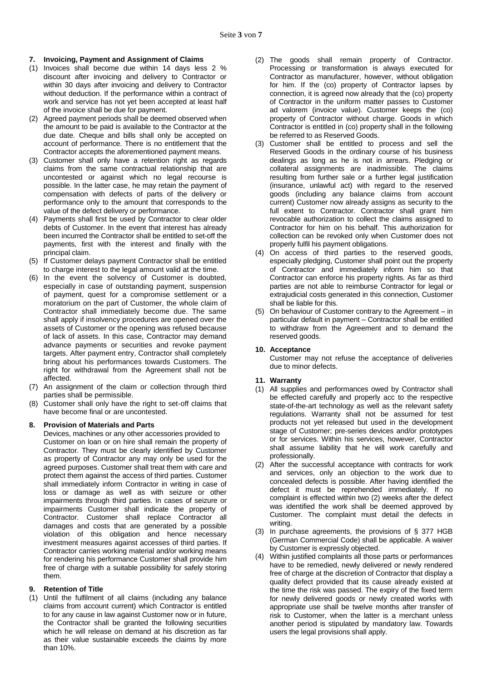### **7. Invoicing, Payment and Assignment of Claims**

- (1) Invoices shall become due within 14 days less 2 % discount after invoicing and delivery to Contractor or within 30 days after invoicing and delivery to Contractor without deduction. If the performance within a contract of work and service has not yet been accepted at least half of the invoice shall be due for payment.
- (2) Agreed payment periods shall be deemed observed when the amount to be paid is available to the Contractor at the due date. Cheque and bills shall only be accepted on account of performance. There is no entitlement that the Contractor accepts the aforementioned payment means.
- (3) Customer shall only have a retention right as regards claims from the same contractual relationship that are uncontested or against which no legal recourse is possible. In the latter case, he may retain the payment of compensation with defects of parts of the delivery or performance only to the amount that corresponds to the value of the defect delivery or performance.
- (4) Payments shall first be used by Contractor to clear older debts of Customer. In the event that interest has already been incurred the Contractor shall be entitled to set-off the payments, first with the interest and finally with the principal claim.
- (5) If Customer delays payment Contractor shall be entitled to charge interest to the legal amount valid at the time.
- (6) In the event the solvency of Customer is doubted, especially in case of outstanding payment, suspension of payment, quest for a compromise settlement or a moratorium on the part of Customer, the whole claim of Contractor shall immediately become due. The same shall apply if insolvency procedures are opened over the assets of Customer or the opening was refused because of lack of assets. In this case, Contractor may demand advance payments or securities and revoke payment targets. After payment entry, Contractor shall completely bring about his performances towards Customers. The right for withdrawal from the Agreement shall not be affected.
- (7) An assignment of the claim or collection through third parties shall be permissible.
- (8) Customer shall only have the right to set-off claims that have become final or are uncontested.

#### **8. Provision of Materials and Parts**

Devices, machines or any other accessories provided to Customer on loan or on hire shall remain the property of Contractor. They must be clearly identified by Customer as property of Contractor any may only be used for the agreed purposes. Customer shall treat them with care and protect them against the access of third parties. Customer shall immediately inform Contractor in writing in case of loss or damage as well as with seizure or other impairments through third parties. In cases of seizure or impairments Customer shall indicate the property of Contractor. Customer shall replace Contractor all damages and costs that are generated by a possible violation of this obligation and hence necessary investment measures against accesses of third parties. If Contractor carries working material and/or working means for rendering his performance Customer shall provide him free of charge with a suitable possibility for safely storing them.

### **9. Retention of Title**

(1) Until the fulfilment of all claims (including any balance claims from account current) which Contractor is entitled to for any cause in law against Customer now or in future, the Contractor shall be granted the following securities which he will release on demand at his discretion as far as their value sustainable exceeds the claims by more than 10%.

- (2) The goods shall remain property of Contractor. Processing or transformation is always executed for Contractor as manufacturer, however, without obligation for him. If the (co) property of Contractor lapses by connection, it is agreed now already that the (co) property of Contractor in the uniform matter passes to Customer ad valorem (invoice value). Customer keeps the (co) property of Contractor without charge. Goods in which Contractor is entitled in (co) property shall in the following be referred to as Reserved Goods.
- (3) Customer shall be entitled to process and sell the Reserved Goods in the ordinary course of his business dealings as long as he is not in arrears. Pledging or collateral assignments are inadmissible. The claims resulting from further sale or a further legal justification (insurance, unlawful act) with regard to the reserved goods (including any balance claims from account current) Customer now already assigns as security to the full extent to Contractor. Contractor shall grant him revocable authorization to collect the claims assigned to Contractor for him on his behalf. This authorization for collection can be revoked only when Customer does not properly fulfil his payment obligations.
- (4) On access of third parties to the reserved goods, especially pledging, Customer shall point out the property of Contractor and immediately inform him so that Contractor can enforce his property rights. As far as third parties are not able to reimburse Contractor for legal or extrajudicial costs generated in this connection, Customer shall be liable for this.
- (5) On behaviour of Customer contrary to the Agreement in particular default in payment – Contractor shall be entitled to withdraw from the Agreement and to demand the reserved goods.

### **10. Acceptance**

Customer may not refuse the acceptance of deliveries due to minor defects.

### **11. Warranty**

- (1) All supplies and performances owed by Contractor shall be effected carefully and properly acc to the respective state-of-the-art technology as well as the relevant safety regulations. Warranty shall not be assumed for test products not yet released but used in the development stage of Customer; pre-series devices and/or prototypes or for services. Within his services, however, Contractor shall assume liability that he will work carefully and professionally.
- (2) After the successful acceptance with contracts for work and services, only an objection to the work due to concealed defects is possible. After having identified the defect it must be reprehended immediately. If no complaint is effected within two (2) weeks after the defect was identified the work shall be deemed approved by Customer. The complaint must detail the defects in writing.
- (3) In purchase agreements, the provisions of § 377 HGB (German Commercial Code) shall be applicable. A waiver by Customer is expressly objected.
- (4) Within justified complaints all those parts or performances have to be remedied, newly delivered or newly rendered free of charge at the discretion of Contractor that display a quality defect provided that its cause already existed at the time the risk was passed. The expiry of the fixed term for newly delivered goods or newly created works with appropriate use shall be twelve months after transfer of risk to Customer, when the latter is a merchant unless another period is stipulated by mandatory law. Towards users the legal provisions shall apply.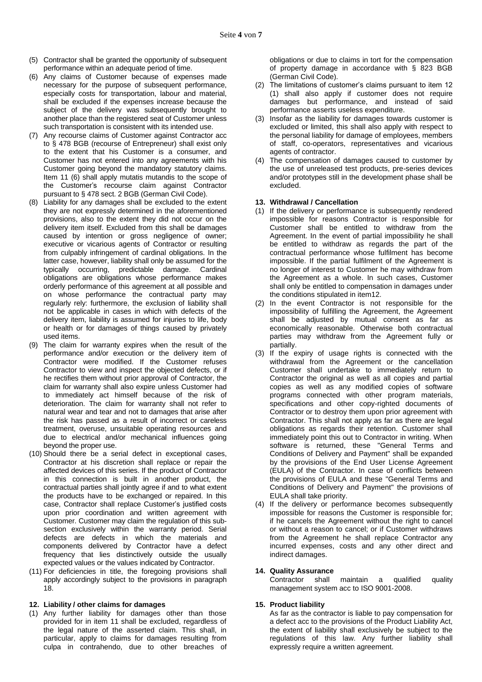- (5) Contractor shall be granted the opportunity of subsequent performance within an adequate period of time.
- (6) Any claims of Customer because of expenses made necessary for the purpose of subsequent performance, especially costs for transportation, labour and material, shall be excluded if the expenses increase because the subject of the delivery was subsequently brought to another place than the registered seat of Customer unless such transportation is consistent with its intended use.
- (7) Any recourse claims of Customer against Contractor acc to § 478 BGB (recourse of Entrepreneur) shall exist only to the extent that his Customer is a consumer, and Customer has not entered into any agreements with his Customer going beyond the mandatory statutory claims. Item 11 (6) shall apply mutatis mutandis to the scope of the Customer's recourse claim against Contractor pursuant to § 478 sect. 2 BGB (German Civil Code).
- (8) Liability for any damages shall be excluded to the extent they are not expressly determined in the aforementioned provisions, also to the extent they did not occur on the delivery item itself. Excluded from this shall be damages caused by intention or gross negligence of owner; executive or vicarious agents of Contractor or resulting from culpably infringement of cardinal obligations. In the latter case, however, liability shall only be assumed for the typically occurring, predictable damage. Cardinal obligations are obligations whose performance makes orderly performance of this agreement at all possible and on whose performance the contractual party may regularly rely: furthermore, the exclusion of liability shall not be applicable in cases in which with defects of the delivery item, liability is assumed for injuries to life, body or health or for damages of things caused by privately used items.
- (9) The claim for warranty expires when the result of the performance and/or execution or the delivery item of Contractor were modified. If the Customer refuses Contractor to view and inspect the objected defects, or if he rectifies them without prior approval of Contractor, the claim for warranty shall also expire unless Customer had to immediately act himself because of the risk of deterioration. The claim for warranty shall not refer to natural wear and tear and not to damages that arise after the risk has passed as a result of incorrect or careless treatment, overuse, unsuitable operating resources and due to electrical and/or mechanical influences going beyond the proper use.
- (10) Should there be a serial defect in exceptional cases, Contractor at his discretion shall replace or repair the affected devices of this series. If the product of Contractor in this connection is built in another product, the contractual parties shall jointly agree if and to what extent the products have to be exchanged or repaired. In this case, Contractor shall replace Customer's justified costs upon prior coordination and written agreement with Customer. Customer may claim the regulation of this subsection exclusively within the warranty period. Serial defects are defects in which the materials and components delivered by Contractor have a defect frequency that lies distinctively outside the usually expected values or the values indicated by Contractor.
- (11) For deficiencies in title, the foregoing provisions shall apply accordingly subject to the provisions in paragraph 18.

#### **12. Liability / other claims for damages**

(1) Any further liability for damages other than those provided for in item 11 shall be excluded, regardless of the legal nature of the asserted claim. This shall, in particular, apply to claims for damages resulting from culpa in contrahendo, due to other breaches of

obligations or due to claims in tort for the compensation of property damage in accordance with § 823 BGB (German Civil Code).

- (2) The limitations of customer's claims pursuant to item 12 (1) shall also apply if customer does not require damages but performance, and instead of said performance asserts useless expenditure.
- (3) Insofar as the liability for damages towards customer is excluded or limited, this shall also apply with respect to the personal liability for damage of employees, members of staff, co-operators, representatives and vicarious agents of contractor.
- (4) The compensation of damages caused to customer by the use of unreleased test products, pre-series devices and/or prototypes still in the development phase shall be excluded.

### **13. Withdrawal / Cancellation**

- (1) If the delivery or performance is subsequently rendered impossible for reasons Contractor is responsible for Customer shall be entitled to withdraw from the Agreement. In the event of partial impossibility he shall be entitled to withdraw as regards the part of the contractual performance whose fulfilment has become impossible. If the partial fulfilment of the Agreement is no longer of interest to Customer he may withdraw from the Agreement as a whole. In such cases, Customer shall only be entitled to compensation in damages under the conditions stipulated in item12.
- (2) In the event Contractor is not responsible for the impossibility of fulfilling the Agreement, the Agreement shall be adjusted by mutual consent as far as economically reasonable. Otherwise both contractual parties may withdraw from the Agreement fully or partially.
- (3) If the expiry of usage rights is connected with the withdrawal from the Agreement or the cancellation Customer shall undertake to immediately return to Contractor the original as well as all copies and partial copies as well as any modified copies of software programs connected with other program materials, specifications and other copy-righted documents of Contractor or to destroy them upon prior agreement with Contractor. This shall not apply as far as there are legal obligations as regards their retention. Customer shall immediately point this out to Contractor in writing. When software is returned, these "General Terms and Conditions of Delivery and Payment" shall be expanded by the provisions of the End User License Agreement (EULA) of the Contractor. In case of conflicts between the provisions of EULA and these "General Terms and Conditions of Delivery and Payment" the provisions of EULA shall take priority.
- (4) If the delivery or performance becomes subsequently impossible for reasons the Customer is responsible for; if he cancels the Agreement without the right to cancel or without a reason to cancel; or if Customer withdraws from the Agreement he shall replace Contractor any incurred expenses, costs and any other direct and indirect damages.

#### **14. Quality Assurance**

Contractor shall maintain a qualified quality management system acc to ISO 9001-2008.

#### **15. Product liability**

As far as the contractor is liable to pay compensation for a defect acc to the provisions of the Product Liability Act, the extent of liability shall exclusively be subject to the regulations of this law. Any further liability shall expressly require a written agreement.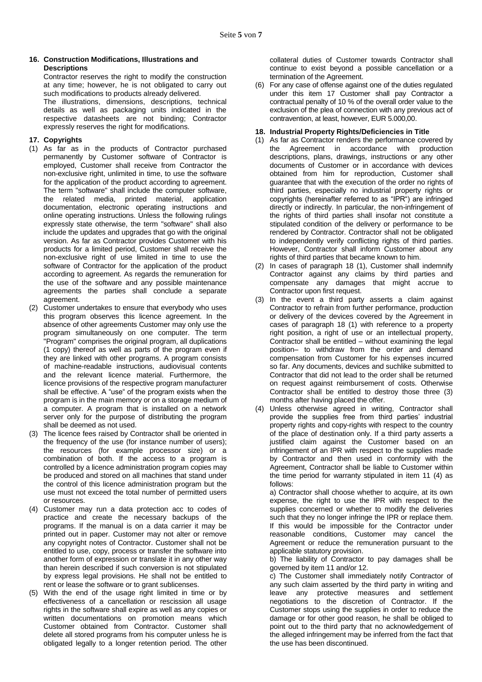### **16. Construction Modifications, Illustrations and Descriptions**

Contractor reserves the right to modify the construction at any time; however, he is not obligated to carry out such modifications to products already delivered. The illustrations, dimensions, descriptions, technical details as well as packaging units indicated in the respective datasheets are not binding; Contractor expressly reserves the right for modifications.

# **17. Copyrights**

- (1) As far as in the products of Contractor purchased permanently by Customer software of Contractor is employed, Customer shall receive from Contractor the non-exclusive right, unlimited in time, to use the software for the application of the product according to agreement. The term "software" shall include the computer software, the related media, printed material, application documentation, electronic operating instructions and online operating instructions. Unless the following rulings expressly state otherwise, the term "software" shall also include the updates and upgrades that go with the original version. As far as Contractor provides Customer with his products for a limited period, Customer shall receive the non-exclusive right of use limited in time to use the software of Contractor for the application of the product according to agreement. As regards the remuneration for the use of the software and any possible maintenance agreements the parties shall conclude a separate agreement.
- (2) Customer undertakes to ensure that everybody who uses this program observes this licence agreement. In the absence of other agreements Customer may only use the program simultaneously on one computer. The term "Program" comprises the original program, all duplications (1 copy) thereof as well as parts of the program even if they are linked with other programs. A program consists of machine-readable instructions, audiovisual contents and the relevant licence material. Furthermore, the licence provisions of the respective program manufacturer shall be effective. A "use" of the program exists when the program is in the main memory or on a storage medium of a computer. A program that is installed on a network server only for the purpose of distributing the program shall be deemed as not used.
- (3) The licence fees raised by Contractor shall be oriented in the frequency of the use (for instance number of users); the resources (for example processor size) or a combination of both. If the access to a program is controlled by a licence administration program copies may be produced and stored on all machines that stand under the control of this licence administration program but the use must not exceed the total number of permitted users or resources.
- (4) Customer may run a data protection acc to codes of practice and create the necessary backups of the programs. If the manual is on a data carrier it may be printed out in paper. Customer may not alter or remove any copyright notes of Contractor. Customer shall not be entitled to use, copy, process or transfer the software into another form of expression or translate it in any other way than herein described if such conversion is not stipulated by express legal provisions. He shall not be entitled to rent or lease the software or to grant sublicenses.
- (5) With the end of the usage right limited in time or by effectiveness of a cancellation or rescission all usage rights in the software shall expire as well as any copies or written documentations on promotion means which Customer obtained from Contractor. Customer shall delete all stored programs from his computer unless he is obligated legally to a longer retention period. The other

collateral duties of Customer towards Contractor shall continue to exist beyond a possible cancellation or a termination of the Agreement.

(6) For any case of offense against one of the duties regulated under this item 17 Customer shall pay Contractor a contractual penalty of 10 % of the overall order value to the exclusion of the plea of connection with any previous act of contravention, at least, however, EUR 5.000,00.

### **18. Industrial Property Rights/Deficiencies in Title**

- (1) As far as Contractor renders the performance covered by the Agreement in accordance with production descriptions, plans, drawings, instructions or any other documents of Customer or in accordance with devices obtained from him for reproduction, Customer shall guarantee that with the execution of the order no rights of third parties, especially no industrial property rights or copyrights (hereinafter referred to as "IPR") are infringed directly or indirectly. In particular, the non-infringement of the rights of third parties shall insofar not constitute a stipulated condition of the delivery or performance to be rendered by Contractor. Contractor shall not be obligated to independently verify conflicting rights of third parties. However, Contractor shall inform Customer about any rights of third parties that became known to him.
- (2) In cases of paragraph 18 (1), Customer shall indemnify Contractor against any claims by third parties and compensate any damages that might accrue to Contractor upon first request.
- (3) In the event a third party asserts a claim against Contractor to refrain from further performance, production or delivery of the devices covered by the Agreement in cases of paragraph 18 (1) with reference to a property right position, a right of use or an intellectual property, Contractor shall be entitled – without examining the legal position– to withdraw from the order and demand compensation from Customer for his expenses incurred so far. Any documents, devices and suchlike submitted to Contractor that did not lead to the order shall be returned on request against reimbursement of costs. Otherwise Contractor shall be entitled to destroy those three (3) months after having placed the offer.
- (4) Unless otherwise agreed in writing, Contractor shall provide the supplies free from third parties' industrial property rights and copy-rights with respect to the country of the place of destination only. If a third party asserts a justified claim against the Customer based on an infringement of an IPR with respect to the supplies made by Contractor and then used in conformity with the Agreement, Contractor shall be liable to Customer within the time period for warranty stipulated in item 11 (4) as follows:

a) Contractor shall choose whether to acquire, at its own expense, the right to use the IPR with respect to the supplies concerned or whether to modify the deliveries such that they no longer infringe the IPR or replace them. If this would be impossible for the Contractor under reasonable conditions, Customer may cancel the Agreement or reduce the remuneration pursuant to the applicable statutory provision.

b) The liability of Contractor to pay damages shall be governed by item 11 and/or 12.

c) The Customer shall immediately notify Contractor of any such claim asserted by the third party in writing and leave any protective measures and settlement negotiations to the discretion of Contractor. If the Customer stops using the supplies in order to reduce the damage or for other good reason, he shall be obliged to point out to the third party that no acknowledgement of the alleged infringement may be inferred from the fact that the use has been discontinued.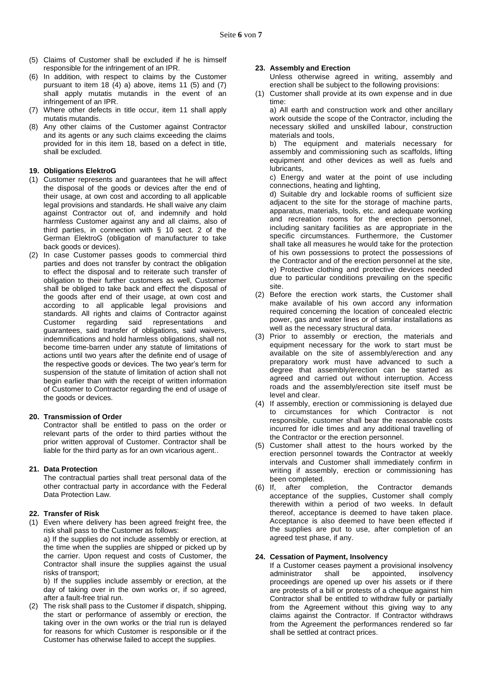- (5) Claims of Customer shall be excluded if he is himself responsible for the infringement of an IPR.
- (6) In addition, with respect to claims by the Customer pursuant to item 18  $(4)$  a) above, items 11  $(5)$  and  $(7)$ shall apply mutatis mutandis in the event of an infringement of an IPR.
- (7) Where other defects in title occur, item 11 shall apply mutatis mutandis.
- (8) Any other claims of the Customer against Contractor and its agents or any such claims exceeding the claims provided for in this item 18, based on a defect in title, shall be excluded.

### **19. Obligations ElektroG**

- (1) Customer represents and guarantees that he will affect the disposal of the goods or devices after the end of their usage, at own cost and according to all applicable legal provisions and standards. He shall waive any claim against Contractor out of, and indemnify and hold harmless Customer against any and all claims, also of third parties, in connection with § 10 sect. 2 of the German ElektroG (obligation of manufacturer to take back goods or devices).
- (2) In case Customer passes goods to commercial third parties and does not transfer by contract the obligation to effect the disposal and to reiterate such transfer of obligation to their further customers as well, Customer shall be obliged to take back and effect the disposal of the goods after end of their usage, at own cost and according to all applicable legal provisions and standards. All rights and claims of Contractor against Customer regarding said representations and guarantees, said transfer of obligations, said waivers, indemnifications and hold harmless obligations, shall not become time-barren under any statute of limitations of actions until two years after the definite end of usage of the respective goods or devices. The two year's term for suspension of the statute of limitation of action shall not begin earlier than with the receipt of written information of Customer to Contractor regarding the end of usage of the goods or devices.

#### **20. Transmission of Order**

Contractor shall be entitled to pass on the order or relevant parts of the order to third parties without the prior written approval of Customer. Contractor shall be liable for the third party as for an own vicarious agent..

### **21. Data Protection**

The contractual parties shall treat personal data of the other contractual party in accordance with the Federal Data Protection Law.

### **22. Transfer of Risk**

(1) Even where delivery has been agreed freight free, the risk shall pass to the Customer as follows:

a) If the supplies do not include assembly or erection, at the time when the supplies are shipped or picked up by the carrier. Upon request and costs of Customer, the Contractor shall insure the supplies against the usual risks of transport;

b) If the supplies include assembly or erection, at the day of taking over in the own works or, if so agreed, after a fault-free trial run.

(2) The risk shall pass to the Customer if dispatch, shipping, the start or performance of assembly or erection, the taking over in the own works or the trial run is delayed for reasons for which Customer is responsible or if the Customer has otherwise failed to accept the supplies.

### **23. Assembly and Erection**

Unless otherwise agreed in writing, assembly and erection shall be subject to the following provisions:

- (1) Customer shall provide at its own expense and in due time:
	- a) All earth and construction work and other ancillary work outside the scope of the Contractor, including the necessary skilled and unskilled labour, construction materials and tools,

b) The equipment and materials necessary for assembly and commissioning such as scaffolds, lifting equipment and other devices as well as fuels and lubricants,

c) Energy and water at the point of use including connections, heating and lighting,

d) Suitable dry and lockable rooms of sufficient size adjacent to the site for the storage of machine parts, apparatus, materials, tools, etc. and adequate working and recreation rooms for the erection personnel, including sanitary facilities as are appropriate in the specific circumstances. Furthermore, the Customer shall take all measures he would take for the protection of his own possessions to protect the possessions of the Contractor and of the erection personnel at the site, e) Protective clothing and protective devices needed due to particular conditions prevailing on the specific site.

- (2) Before the erection work starts, the Customer shall make available of his own accord any information required concerning the location of concealed electric power, gas and water lines or of similar installations as well as the necessary structural data.
- (3) Prior to assembly or erection, the materials and equipment necessary for the work to start must be available on the site of assembly/erection and any preparatory work must have advanced to such a degree that assembly/erection can be started as agreed and carried out without interruption. Access roads and the assembly/erection site itself must be level and clear.
- (4) If assembly, erection or commissioning is delayed due to circumstances for which Contractor is not responsible, customer shall bear the reasonable costs incurred for idle times and any additional travelling of the Contractor or the erection personnel.
- (5) Customer shall attest to the hours worked by the erection personnel towards the Contractor at weekly intervals and Customer shall immediately confirm in writing if assembly, erection or commissioning has been completed.
- (6) If, after completion, the Contractor demands acceptance of the supplies, Customer shall comply therewith within a period of two weeks. In default thereof, acceptance is deemed to have taken place. Acceptance is also deemed to have been effected if the supplies are put to use, after completion of an agreed test phase, if any.

#### **24. Cessation of Payment, Insolvency**

If a Customer ceases payment a provisional insolvency<br>administrator shall be appointed, insolvency administrator shall be appointed, insolvency proceedings are opened up over his assets or if there are protests of a bill or protests of a cheque against him Contractor shall be entitled to withdraw fully or partially from the Agreement without this giving way to any claims against the Contractor. If Contractor withdraws from the Agreement the performances rendered so far shall be settled at contract prices.